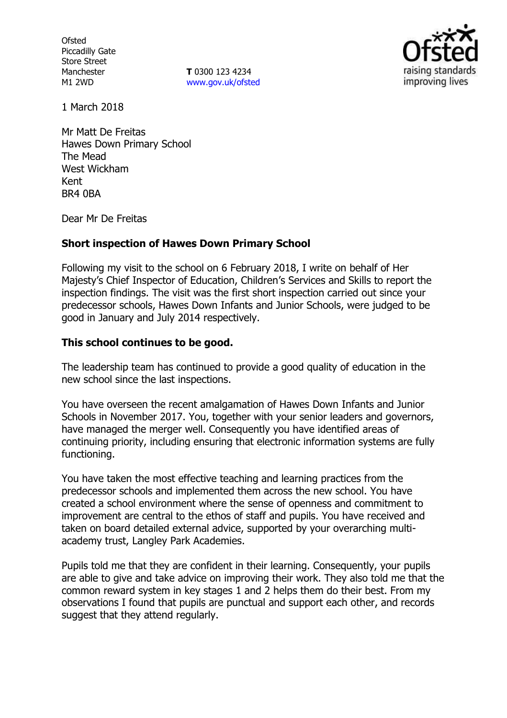**Ofsted** Piccadilly Gate Store Street Manchester M1 2WD

**T** 0300 123 4234 www.gov.uk/ofsted



1 March 2018

Mr Matt De Freitas Hawes Down Primary School The Mead West Wickham Kent BR4 0BA

Dear Mr De Freitas

### **Short inspection of Hawes Down Primary School**

Following my visit to the school on 6 February 2018, I write on behalf of Her Majesty's Chief Inspector of Education, Children's Services and Skills to report the inspection findings. The visit was the first short inspection carried out since your predecessor schools, Hawes Down Infants and Junior Schools, were judged to be good in January and July 2014 respectively.

### **This school continues to be good.**

The leadership team has continued to provide a good quality of education in the new school since the last inspections.

You have overseen the recent amalgamation of Hawes Down Infants and Junior Schools in November 2017. You, together with your senior leaders and governors, have managed the merger well. Consequently you have identified areas of continuing priority, including ensuring that electronic information systems are fully functioning.

You have taken the most effective teaching and learning practices from the predecessor schools and implemented them across the new school. You have created a school environment where the sense of openness and commitment to improvement are central to the ethos of staff and pupils. You have received and taken on board detailed external advice, supported by your overarching multiacademy trust, Langley Park Academies.

Pupils told me that they are confident in their learning. Consequently, your pupils are able to give and take advice on improving their work. They also told me that the common reward system in key stages 1 and 2 helps them do their best. From my observations I found that pupils are punctual and support each other, and records suggest that they attend regularly.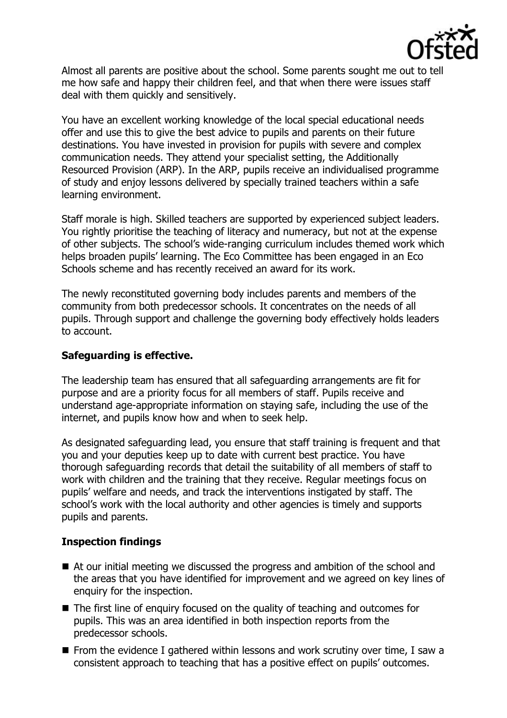

Almost all parents are positive about the school. Some parents sought me out to tell me how safe and happy their children feel, and that when there were issues staff deal with them quickly and sensitively.

You have an excellent working knowledge of the local special educational needs offer and use this to give the best advice to pupils and parents on their future destinations. You have invested in provision for pupils with severe and complex communication needs. They attend your specialist setting, the Additionally Resourced Provision (ARP). In the ARP, pupils receive an individualised programme of study and enjoy lessons delivered by specially trained teachers within a safe learning environment.

Staff morale is high. Skilled teachers are supported by experienced subject leaders. You rightly prioritise the teaching of literacy and numeracy, but not at the expense of other subjects. The school's wide-ranging curriculum includes themed work which helps broaden pupils' learning. The Eco Committee has been engaged in an Eco Schools scheme and has recently received an award for its work.

The newly reconstituted governing body includes parents and members of the community from both predecessor schools. It concentrates on the needs of all pupils. Through support and challenge the governing body effectively holds leaders to account.

## **Safeguarding is effective.**

The leadership team has ensured that all safeguarding arrangements are fit for purpose and are a priority focus for all members of staff. Pupils receive and understand age-appropriate information on staying safe, including the use of the internet, and pupils know how and when to seek help.

As designated safeguarding lead, you ensure that staff training is frequent and that you and your deputies keep up to date with current best practice. You have thorough safeguarding records that detail the suitability of all members of staff to work with children and the training that they receive. Regular meetings focus on pupils' welfare and needs, and track the interventions instigated by staff. The school's work with the local authority and other agencies is timely and supports pupils and parents.

### **Inspection findings**

- At our initial meeting we discussed the progress and ambition of the school and the areas that you have identified for improvement and we agreed on key lines of enquiry for the inspection.
- The first line of enguiry focused on the quality of teaching and outcomes for pupils. This was an area identified in both inspection reports from the predecessor schools.
- **From the evidence I gathered within lessons and work scrutiny over time, I saw a** consistent approach to teaching that has a positive effect on pupils' outcomes.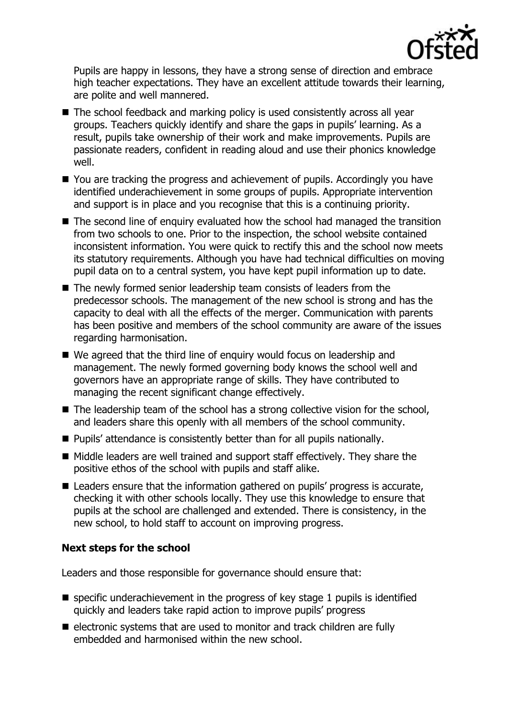

Pupils are happy in lessons, they have a strong sense of direction and embrace high teacher expectations. They have an excellent attitude towards their learning, are polite and well mannered.

- The school feedback and marking policy is used consistently across all year groups. Teachers quickly identify and share the gaps in pupils' learning. As a result, pupils take ownership of their work and make improvements. Pupils are passionate readers, confident in reading aloud and use their phonics knowledge well.
- You are tracking the progress and achievement of pupils. Accordingly you have identified underachievement in some groups of pupils. Appropriate intervention and support is in place and you recognise that this is a continuing priority.
- The second line of enquiry evaluated how the school had managed the transition from two schools to one. Prior to the inspection, the school website contained inconsistent information. You were quick to rectify this and the school now meets its statutory requirements. Although you have had technical difficulties on moving pupil data on to a central system, you have kept pupil information up to date.
- The newly formed senior leadership team consists of leaders from the predecessor schools. The management of the new school is strong and has the capacity to deal with all the effects of the merger. Communication with parents has been positive and members of the school community are aware of the issues regarding harmonisation.
- We agreed that the third line of enguiry would focus on leadership and management. The newly formed governing body knows the school well and governors have an appropriate range of skills. They have contributed to managing the recent significant change effectively.
- The leadership team of the school has a strong collective vision for the school, and leaders share this openly with all members of the school community.
- **Pupils' attendance is consistently better than for all pupils nationally.**
- Middle leaders are well trained and support staff effectively. They share the positive ethos of the school with pupils and staff alike.
- Leaders ensure that the information gathered on pupils' progress is accurate, checking it with other schools locally. They use this knowledge to ensure that pupils at the school are challenged and extended. There is consistency, in the new school, to hold staff to account on improving progress.

# **Next steps for the school**

Leaders and those responsible for governance should ensure that:

- $\blacksquare$  specific underachievement in the progress of key stage 1 pupils is identified quickly and leaders take rapid action to improve pupils' progress
- $\blacksquare$  electronic systems that are used to monitor and track children are fully embedded and harmonised within the new school.